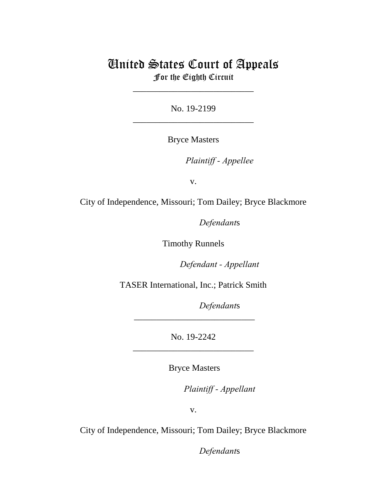## United States Court of Appeals For the Eighth Circuit

\_\_\_\_\_\_\_\_\_\_\_\_\_\_\_\_\_\_\_\_\_\_\_\_\_\_\_

No. 19-2199 \_\_\_\_\_\_\_\_\_\_\_\_\_\_\_\_\_\_\_\_\_\_\_\_\_\_\_

Bryce Masters

Plaintiff - Appellee

v.

City of Independence, Missouri; Tom Dailey; Bryce Blackmore

Defendants

Timothy Runnels

Defendant - Appellant

TASER International, Inc.; Patrick Smith

Defendants

No. 19-2242 \_\_\_\_\_\_\_\_\_\_\_\_\_\_\_\_\_\_\_\_\_\_\_\_\_\_\_

\_\_\_\_\_\_\_\_\_\_\_\_\_\_\_\_\_\_\_\_\_\_\_\_\_\_\_

Bryce Masters

lllllllllllllllllllll*Plaintiff - Appellant*

v.

City of Independence, Missouri; Tom Dailey; Bryce Blackmore

Defendants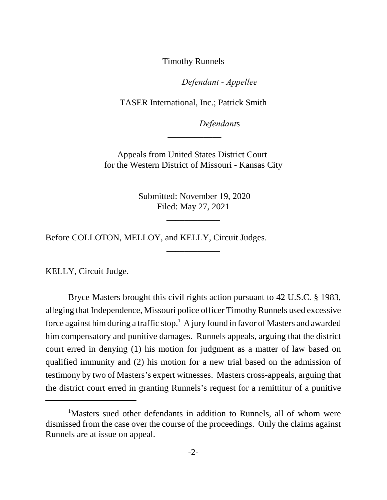Timothy Runnels

Defendant - Appellee

TASER International, Inc.; Patrick Smith

Defendants

Appeals from United States District Court for the Western District of Missouri - Kansas City

\_\_\_\_\_\_\_\_\_\_\_\_

\_\_\_\_\_\_\_\_\_\_\_\_

 Submitted: November 19, 2020 Filed: May 27, 2021

\_\_\_\_\_\_\_\_\_\_\_\_

\_\_\_\_\_\_\_\_\_\_\_\_

Before COLLOTON, MELLOY, and KELLY, Circuit Judges.

KELLY, Circuit Judge.

Bryce Masters brought this civil rights action pursuant to 42 U.S.C. § 1983, alleging that Independence, Missouri police officer Timothy Runnels used excessive force against him during a traffic stop. $^1\,$  A jury found in favor of Masters and awarded him compensatory and punitive damages. Runnels appeals, arguing that the district court erred in denying (1) his motion for judgment as a matter of law based on qualified immunity and (2) his motion for a new trial based on the admission of testimony by two of Masters's expert witnesses. Masters cross-appeals, arguing that the district court erred in granting Runnels's request for a remittitur of a punitive

<sup>&</sup>lt;sup>1</sup>Masters sued other defendants in addition to Runnels, all of whom were dismissed from the case over the course of the proceedings. Only the claims against Runnels are at issue on appeal.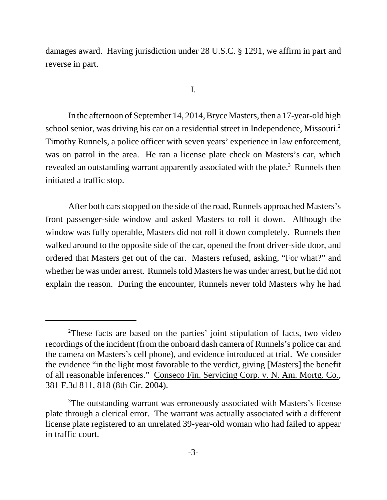damages award. Having jurisdiction under 28 U.S.C. § 1291, we affirm in part and reverse in part.

I.

In the afternoon of September 14, 2014, Bryce Masters, then a 17-year-old high school senior, was driving his car on a residential street in Independence, Missouri.<sup>2</sup> Timothy Runnels, a police officer with seven years' experience in law enforcement, was on patrol in the area. He ran a license plate check on Masters's car, which revealed an outstanding warrant apparently associated with the plate. $^3$  Runnels then initiated a traffic stop.

After both cars stopped on the side of the road, Runnels approached Masters's front passenger-side window and asked Masters to roll it down. Although the window was fully operable, Masters did not roll it down completely. Runnels then walked around to the opposite side of the car, opened the front driver-side door, and ordered that Masters get out of the car. Masters refused, asking, "For what?" and whether he was under arrest. Runnels told Masters he was under arrest, but he did not explain the reason. During the encounter, Runnels never told Masters why he had

<sup>2</sup>These facts are based on the parties' joint stipulation of facts, two video recordings of the incident (from the onboard dash camera of Runnels's police car and the camera on Masters's cell phone), and evidence introduced at trial. We consider the evidence "in the light most favorable to the verdict, giving [Masters] the benefit of all reasonable inferences." Conseco Fin. Servicing Corp. v. N. Am. Mortg. Co., 381 F.3d 811, 818 (8th Cir. 2004).

<sup>&</sup>lt;sup>3</sup>The outstanding warrant was erroneously associated with Masters's license plate through a clerical error. The warrant was actually associated with a different license plate registered to an unrelated 39-year-old woman who had failed to appear in traffic court.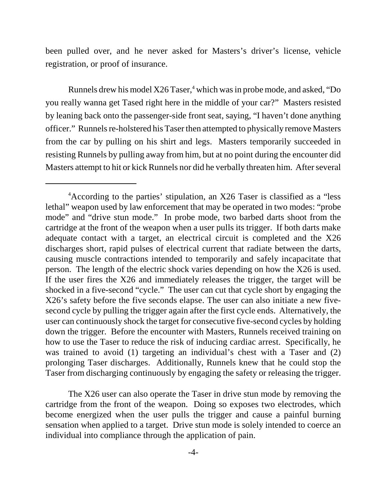been pulled over, and he never asked for Masters's driver's license, vehicle registration, or proof of insurance.

Runnels drew his model X26 Taser,<sup>4</sup> which was in probe mode, and asked, "Do you really wanna get Tased right here in the middle of your car?" Masters resisted by leaning back onto the passenger-side front seat, saying, "I haven't done anything officer." Runnels re-holstered his Taser then attempted to physically remove Masters from the car by pulling on his shirt and legs. Masters temporarily succeeded in resisting Runnels by pulling away from him, but at no point during the encounter did Masters attempt to hit or kick Runnels nor did he verbally threaten him. After several

The X26 user can also operate the Taser in drive stun mode by removing the cartridge from the front of the weapon. Doing so exposes two electrodes, which become energized when the user pulls the trigger and cause a painful burning sensation when applied to a target. Drive stun mode is solely intended to coerce an individual into compliance through the application of pain.

<sup>&</sup>lt;sup>4</sup> According to the parties' stipulation, an X26 Taser is classified as a "less" lethal" weapon used by law enforcement that may be operated in two modes: "probe mode" and "drive stun mode." In probe mode, two barbed darts shoot from the cartridge at the front of the weapon when a user pulls its trigger. If both darts make adequate contact with a target, an electrical circuit is completed and the X26 discharges short, rapid pulses of electrical current that radiate between the darts, causing muscle contractions intended to temporarily and safely incapacitate that person. The length of the electric shock varies depending on how the X26 is used. If the user fires the X26 and immediately releases the trigger, the target will be shocked in a five-second "cycle." The user can cut that cycle short by engaging the X26's safety before the five seconds elapse. The user can also initiate a new fivesecond cycle by pulling the trigger again after the first cycle ends. Alternatively, the user can continuously shock the target for consecutive five-second cycles by holding down the trigger. Before the encounter with Masters, Runnels received training on how to use the Taser to reduce the risk of inducing cardiac arrest. Specifically, he was trained to avoid (1) targeting an individual's chest with a Taser and (2) prolonging Taser discharges. Additionally, Runnels knew that he could stop the Taser from discharging continuously by engaging the safety or releasing the trigger.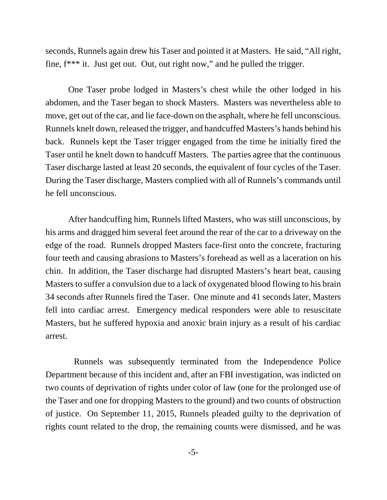seconds, Runnels again drew his Taser and pointed it at Masters. He said, "All right, fine, f\*\*\* it. Just get out. Out, out right now," and he pulled the trigger.

One Taser probe lodged in Masters's chest while the other lodged in his abdomen, and the Taser began to shock Masters. Masters was nevertheless able to move, get out of the car, and lie face-down on the asphalt, where he fell unconscious. Runnels knelt down, released the trigger, and handcuffed Masters's hands behind his back. Runnels kept the Taser trigger engaged from the time he initially fired the Taser until he knelt down to handcuff Masters. The parties agree that the continuous Taser discharge lasted at least 20 seconds, the equivalent of four cycles of the Taser. During the Taser discharge, Masters complied with all of Runnels's commands until he fell unconscious.

After handcuffing him, Runnels lifted Masters, who was still unconscious, by his arms and dragged him several feet around the rear of the car to a driveway on the edge of the road. Runnels dropped Masters face-first onto the concrete, fracturing four teeth and causing abrasions to Masters's forehead as well as a laceration on his chin. In addition, the Taser discharge had disrupted Masters's heart beat, causing Masters to suffer a convulsion due to a lack of oxygenated blood flowing to his brain 34 seconds after Runnels fired the Taser. One minute and 41 seconds later, Masters fell into cardiac arrest. Emergency medical responders were able to resuscitate Masters, but he suffered hypoxia and anoxic brain injury as a result of his cardiac arrest.

 Runnels was subsequently terminated from the Independence Police Department because of this incident and, after an FBI investigation, was indicted on two counts of deprivation of rights under color of law (one for the prolonged use of the Taser and one for dropping Masters to the ground) and two counts of obstruction of justice. On September 11, 2015, Runnels pleaded guilty to the deprivation of rights count related to the drop, the remaining counts were dismissed, and he was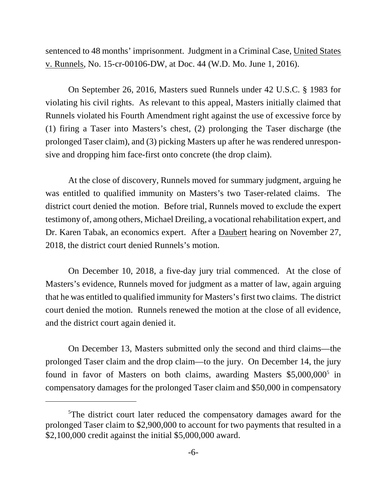sentenced to 48 months' imprisonment. Judgment in a Criminal Case, United States v. Runnels, No. 15-cr-00106-DW, at Doc. 44 (W.D. Mo. June 1, 2016).

On September 26, 2016, Masters sued Runnels under 42 U.S.C. § 1983 for violating his civil rights. As relevant to this appeal, Masters initially claimed that Runnels violated his Fourth Amendment right against the use of excessive force by (1) firing a Taser into Masters's chest, (2) prolonging the Taser discharge (the prolonged Taser claim), and (3) picking Masters up after he was rendered unresponsive and dropping him face-first onto concrete (the drop claim).

At the close of discovery, Runnels moved for summary judgment, arguing he was entitled to qualified immunity on Masters's two Taser-related claims. The district court denied the motion. Before trial, Runnels moved to exclude the expert testimony of, among others, Michael Dreiling, a vocational rehabilitation expert, and Dr. Karen Tabak, an economics expert. After a Daubert hearing on November 27, 2018, the district court denied Runnels's motion.

On December 10, 2018, a five-day jury trial commenced. At the close of Masters's evidence, Runnels moved for judgment as a matter of law, again arguing that he was entitled to qualified immunity for Masters's first two claims. The district court denied the motion. Runnels renewed the motion at the close of all evidence, and the district court again denied it.

On December 13, Masters submitted only the second and third claims—the prolonged Taser claim and the drop claim—to the jury. On December 14, the jury found in favor of Masters on both claims, awarding Masters \$5,000,000<sup>5</sup> in compensatory damages for the prolonged Taser claim and \$50,000 in compensatory

<sup>&</sup>lt;sup>5</sup>The district court later reduced the compensatory damages award for the prolonged Taser claim to \$2,900,000 to account for two payments that resulted in a \$2,100,000 credit against the initial \$5,000,000 award.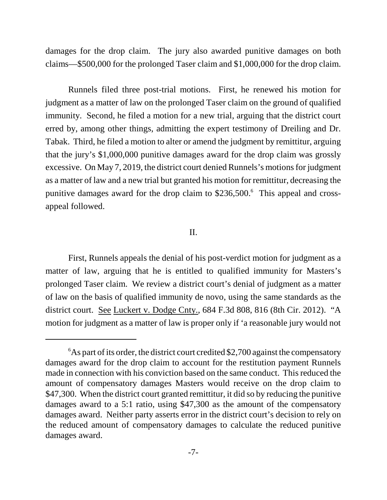damages for the drop claim. The jury also awarded punitive damages on both claims—\$500,000 for the prolonged Taser claim and \$1,000,000 for the drop claim.

Runnels filed three post-trial motions. First, he renewed his motion for judgment as a matter of law on the prolonged Taser claim on the ground of qualified immunity. Second, he filed a motion for a new trial, arguing that the district court erred by, among other things, admitting the expert testimony of Dreiling and Dr. Tabak. Third, he filed a motion to alter or amend the judgment by remittitur, arguing that the jury's \$1,000,000 punitive damages award for the drop claim was grossly excessive. On May 7, 2019, the district court denied Runnels's motions for judgment as a matter of law and a new trial but granted his motion for remittitur, decreasing the punitive damages award for the drop claim to \$236,500.<sup>6</sup> This appeal and crossappeal followed.

## II.

First, Runnels appeals the denial of his post-verdict motion for judgment as a matter of law, arguing that he is entitled to qualified immunity for Masters's prolonged Taser claim. We review a district court's denial of judgment as a matter of law on the basis of qualified immunity de novo, using the same standards as the district court. See Luckert v. Dodge Cnty., 684 F.3d 808, 816 (8th Cir. 2012). "A motion for judgment as a matter of law is proper only if 'a reasonable jury would not

 $6As$  part of its order, the district court credited \$2,700 against the compensatory damages award for the drop claim to account for the restitution payment Runnels made in connection with his conviction based on the same conduct. This reduced the amount of compensatory damages Masters would receive on the drop claim to \$47,300. When the district court granted remittitur, it did so by reducing the punitive damages award to a 5:1 ratio, using \$47,300 as the amount of the compensatory damages award. Neither party asserts error in the district court's decision to rely on the reduced amount of compensatory damages to calculate the reduced punitive damages award.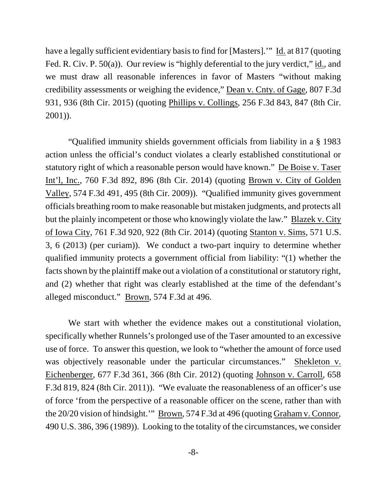have a legally sufficient evidentiary basis to find for [Masters].'" Id. at 817 (quoting Fed. R. Civ. P. 50(a)). Our review is "highly deferential to the jury verdict," id., and we must draw all reasonable inferences in favor of Masters "without making credibility assessments or weighing the evidence," Dean v. Cnty. of Gage, 807 F.3d 931, 936 (8th Cir. 2015) (quoting Phillips v. Collings, 256 F.3d 843, 847 (8th Cir. 2001)).

"Qualified immunity shields government officials from liability in a § 1983 action unless the official's conduct violates a clearly established constitutional or statutory right of which a reasonable person would have known." De Boise v. Taser Int'l, Inc., 760 F.3d 892, 896 (8th Cir. 2014) (quoting Brown v. City of Golden Valley, 574 F.3d 491, 495 (8th Cir. 2009)). "Qualified immunity gives government officials breathing room to make reasonable but mistaken judgments, and protects all but the plainly incompetent or those who knowingly violate the law." Blazek v. City of Iowa City, 761 F.3d 920, 922 (8th Cir. 2014) (quoting Stanton v. Sims, 571 U.S. 3, 6 (2013) (per curiam)). We conduct a two-part inquiry to determine whether qualified immunity protects a government official from liability: "(1) whether the facts shown by the plaintiff make out a violation of a constitutional or statutory right, and (2) whether that right was clearly established at the time of the defendant's alleged misconduct." Brown, 574 F.3d at 496.

We start with whether the evidence makes out a constitutional violation, specifically whether Runnels's prolonged use of the Taser amounted to an excessive use of force. To answer this question, we look to "whether the amount of force used was objectively reasonable under the particular circumstances." Shekleton v. Eichenberger, 677 F.3d 361, 366 (8th Cir. 2012) (quoting Johnson v. Carroll, 658 F.3d 819, 824 (8th Cir. 2011)). "We evaluate the reasonableness of an officer's use of force 'from the perspective of a reasonable officer on the scene, rather than with the 20/20 vision of hindsight.'" Brown, 574 F.3d at 496 (quoting Graham v. Connor, 490 U.S. 386, 396 (1989)). Looking to the totality of the circumstances, we consider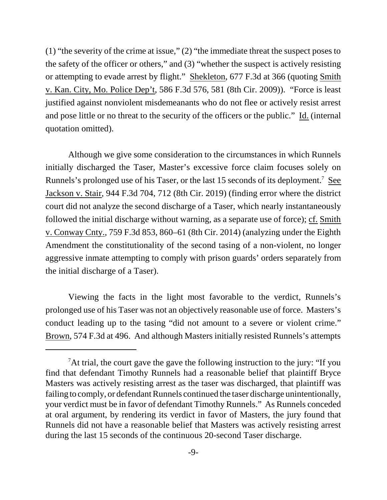(1) "the severity of the crime at issue," (2) "the immediate threat the suspect poses to the safety of the officer or others," and (3) "whether the suspect is actively resisting or attempting to evade arrest by flight." Shekleton, 677 F.3d at 366 (quoting Smith v. Kan. City, Mo. Police Dep't, 586 F.3d 576, 581 (8th Cir. 2009)). "Force is least justified against nonviolent misdemeanants who do not flee or actively resist arrest and pose little or no threat to the security of the officers or the public." Id. (internal quotation omitted).

Although we give some consideration to the circumstances in which Runnels initially discharged the Taser, Master's excessive force claim focuses solely on Runnels's prolonged use of his Taser, or the last 15 seconds of its deployment.<sup>7</sup> See Jackson v. Stair, 944 F.3d 704, 712 (8th Cir. 2019) (finding error where the district court did not analyze the second discharge of a Taser, which nearly instantaneously followed the initial discharge without warning, as a separate use of force); cf. Smith v. Conway Cnty., 759 F.3d 853, 860–61 (8th Cir. 2014) (analyzing under the Eighth Amendment the constitutionality of the second tasing of a non-violent, no longer aggressive inmate attempting to comply with prison guards' orders separately from the initial discharge of a Taser).

Viewing the facts in the light most favorable to the verdict, Runnels's prolonged use of his Taser was not an objectively reasonable use of force. Masters's conduct leading up to the tasing "did not amount to a severe or violent crime." Brown, 574 F.3d at 496. And although Masters initially resisted Runnels's attempts

<sup>&</sup>lt;sup>7</sup>At trial, the court gave the gave the following instruction to the jury: "If you find that defendant Timothy Runnels had a reasonable belief that plaintiff Bryce Masters was actively resisting arrest as the taser was discharged, that plaintiff was failing to comply, or defendant Runnels continued the taser discharge unintentionally, your verdict must be in favor of defendant Timothy Runnels." As Runnels conceded at oral argument, by rendering its verdict in favor of Masters, the jury found that Runnels did not have a reasonable belief that Masters was actively resisting arrest during the last 15 seconds of the continuous 20-second Taser discharge.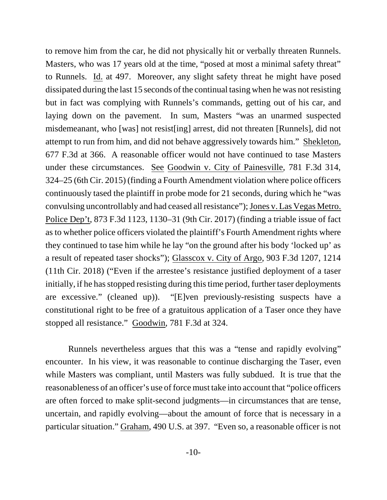to remove him from the car, he did not physically hit or verbally threaten Runnels. Masters, who was 17 years old at the time, "posed at most a minimal safety threat" to Runnels. Id. at 497. Moreover, any slight safety threat he might have posed dissipated during the last 15 seconds of the continual tasing when he was not resisting but in fact was complying with Runnels's commands, getting out of his car, and laying down on the pavement. In sum, Masters "was an unarmed suspected misdemeanant, who [was] not resist[ing] arrest, did not threaten [Runnels], did not attempt to run from him, and did not behave aggressively towards him." Shekleton, 677 F.3d at 366. A reasonable officer would not have continued to tase Masters under these circumstances. See Goodwin v. City of Painesville, 781 F.3d 314, 324–25 (6th Cir. 2015) (finding a Fourth Amendment violation where police officers continuously tased the plaintiff in probe mode for 21 seconds, during which he "was convulsing uncontrollably and had ceased all resistance"); Jones v. Las Vegas Metro. Police Dep't, 873 F.3d 1123, 1130–31 (9th Cir. 2017) (finding a triable issue of fact as to whether police officers violated the plaintiff's Fourth Amendment rights where they continued to tase him while he lay "on the ground after his body 'locked up' as a result of repeated taser shocks"); Glasscox v. City of Argo, 903 F.3d 1207, 1214 (11th Cir. 2018) ("Even if the arrestee's resistance justified deployment of a taser initially, if he has stopped resisting during this time period, further taser deployments are excessive." (cleaned up)). "[E]ven previously-resisting suspects have a constitutional right to be free of a gratuitous application of a Taser once they have stopped all resistance." Goodwin, 781 F.3d at 324.

Runnels nevertheless argues that this was a "tense and rapidly evolving" encounter. In his view, it was reasonable to continue discharging the Taser, even while Masters was compliant, until Masters was fully subdued. It is true that the reasonableness of an officer's use of force must take into account that "police officers are often forced to make split-second judgments—in circumstances that are tense, uncertain, and rapidly evolving—about the amount of force that is necessary in a particular situation." Graham, 490 U.S. at 397. "Even so, a reasonable officer is not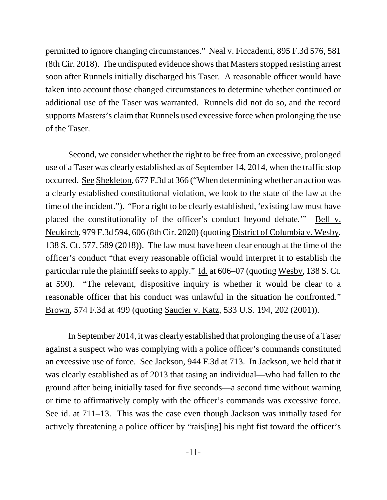permitted to ignore changing circumstances." Neal v. Ficcadenti, 895 F.3d 576, 581 (8th Cir. 2018). The undisputed evidence shows that Masters stopped resisting arrest soon after Runnels initially discharged his Taser. A reasonable officer would have taken into account those changed circumstances to determine whether continued or additional use of the Taser was warranted. Runnels did not do so, and the record supports Masters's claim that Runnels used excessive force when prolonging the use of the Taser.

Second, we consider whether the right to be free from an excessive, prolonged use of a Taser was clearly established as of September 14, 2014, when the traffic stop occurred. See Shekleton, 677 F.3d at 366 ("When determining whether an action was a clearly established constitutional violation, we look to the state of the law at the time of the incident."). "For a right to be clearly established, 'existing law must have placed the constitutionality of the officer's conduct beyond debate.'" Bell v. Neukirch, 979 F.3d 594, 606 (8th Cir. 2020) (quoting District of Columbia v. Wesby, 138 S. Ct. 577, 589 (2018)). The law must have been clear enough at the time of the officer's conduct "that every reasonable official would interpret it to establish the particular rule the plaintiff seeks to apply." Id. at 606–07 (quoting Wesby, 138 S. Ct. at 590). "The relevant, dispositive inquiry is whether it would be clear to a reasonable officer that his conduct was unlawful in the situation he confronted." Brown, 574 F.3d at 499 (quoting Saucier v. Katz, 533 U.S. 194, 202 (2001)).

In September 2014, it was clearly established that prolonging the use of a Taser against a suspect who was complying with a police officer's commands constituted an excessive use of force. See Jackson, 944 F.3d at 713. In Jackson, we held that it was clearly established as of 2013 that tasing an individual—who had fallen to the ground after being initially tased for five seconds—a second time without warning or time to affirmatively comply with the officer's commands was excessive force. See id. at 711–13. This was the case even though Jackson was initially tased for actively threatening a police officer by "rais[ing] his right fist toward the officer's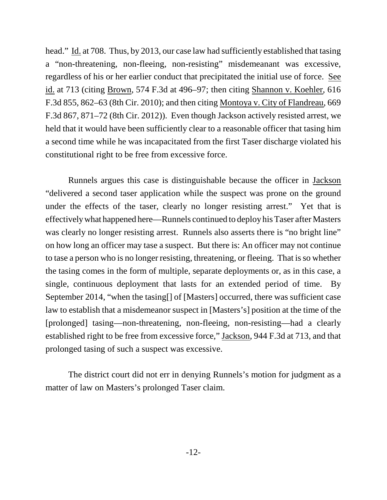head." Id. at 708. Thus, by 2013, our case law had sufficiently established that tasing a "non-threatening, non-fleeing, non-resisting" misdemeanant was excessive, regardless of his or her earlier conduct that precipitated the initial use of force. See id. at 713 (citing Brown, 574 F.3d at 496–97; then citing Shannon v. Koehler, 616 F.3d 855, 862–63 (8th Cir. 2010); and then citing Montoya v. City of Flandreau, 669 F.3d 867, 871–72 (8th Cir. 2012)). Even though Jackson actively resisted arrest, we held that it would have been sufficiently clear to a reasonable officer that tasing him a second time while he was incapacitated from the first Taser discharge violated his constitutional right to be free from excessive force.

Runnels argues this case is distinguishable because the officer in Jackson "delivered a second taser application while the suspect was prone on the ground under the effects of the taser, clearly no longer resisting arrest." Yet that is effectively what happened here—Runnels continued to deploy his Taser after Masters was clearly no longer resisting arrest. Runnels also asserts there is "no bright line" on how long an officer may tase a suspect. But there is: An officer may not continue to tase a person who is no longer resisting, threatening, or fleeing. That is so whether the tasing comes in the form of multiple, separate deployments or, as in this case, a single, continuous deployment that lasts for an extended period of time. By September 2014, "when the tasing[] of [Masters] occurred, there was sufficient case law to establish that a misdemeanor suspect in [Masters's] position at the time of the [prolonged] tasing—non-threatening, non-fleeing, non-resisting—had a clearly established right to be free from excessive force," Jackson, 944 F.3d at 713, and that prolonged tasing of such a suspect was excessive.

The district court did not err in denying Runnels's motion for judgment as a matter of law on Masters's prolonged Taser claim.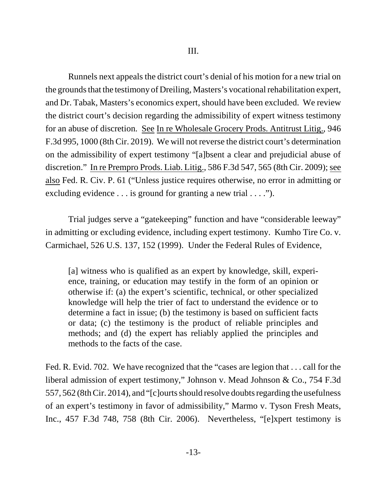Runnels next appeals the district court's denial of his motion for a new trial on the grounds that the testimony of Dreiling, Masters's vocational rehabilitation expert, and Dr. Tabak, Masters's economics expert, should have been excluded. We review the district court's decision regarding the admissibility of expert witness testimony for an abuse of discretion. See In re Wholesale Grocery Prods. Antitrust Litig., 946 F.3d 995, 1000 (8th Cir. 2019). We will not reverse the district court's determination on the admissibility of expert testimony "[a]bsent a clear and prejudicial abuse of discretion." In re Prempro Prods. Liab. Litig., 586 F.3d 547, 565 (8th Cir. 2009); see also Fed. R. Civ. P. 61 ("Unless justice requires otherwise, no error in admitting or excluding evidence . . . is ground for granting a new trial . . . .").

Trial judges serve a "gatekeeping" function and have "considerable leeway" in admitting or excluding evidence, including expert testimony. Kumho Tire Co. v. Carmichael, 526 U.S. 137, 152 (1999). Under the Federal Rules of Evidence,

[a] witness who is qualified as an expert by knowledge, skill, experience, training, or education may testify in the form of an opinion or otherwise if: (a) the expert's scientific, technical, or other specialized knowledge will help the trier of fact to understand the evidence or to determine a fact in issue; (b) the testimony is based on sufficient facts or data; (c) the testimony is the product of reliable principles and methods; and (d) the expert has reliably applied the principles and methods to the facts of the case.

Fed. R. Evid. 702. We have recognized that the "cases are legion that . . . call for the liberal admission of expert testimony," Johnson v. Mead Johnson & Co., 754 F.3d 557, 562 (8th Cir. 2014), and "[c]ourts should resolve doubts regarding the usefulness of an expert's testimony in favor of admissibility," Marmo v. Tyson Fresh Meats, Inc., 457 F.3d 748, 758 (8th Cir. 2006). Nevertheless, "[e]xpert testimony is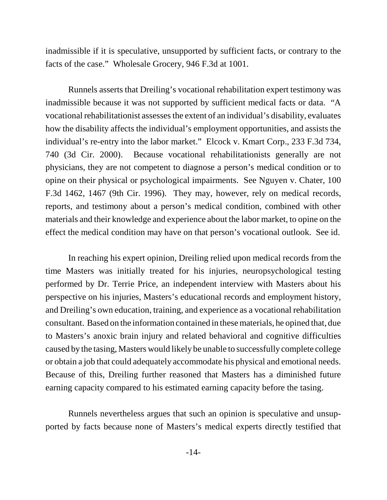inadmissible if it is speculative, unsupported by sufficient facts, or contrary to the facts of the case." Wholesale Grocery, 946 F.3d at 1001.

Runnels asserts that Dreiling's vocational rehabilitation expert testimony was inadmissible because it was not supported by sufficient medical facts or data. "A vocational rehabilitationist assesses the extent of an individual's disability, evaluates how the disability affects the individual's employment opportunities, and assists the individual's re-entry into the labor market." Elcock v. Kmart Corp., 233 F.3d 734, 740 (3d Cir. 2000). Because vocational rehabilitationists generally are not physicians, they are not competent to diagnose a person's medical condition or to opine on their physical or psychological impairments. See Nguyen v. Chater, 100 F.3d 1462, 1467 (9th Cir. 1996). They may, however, rely on medical records, reports, and testimony about a person's medical condition, combined with other materials and their knowledge and experience about the labor market, to opine on the effect the medical condition may have on that person's vocational outlook. See id.

In reaching his expert opinion, Dreiling relied upon medical records from the time Masters was initially treated for his injuries, neuropsychological testing performed by Dr. Terrie Price, an independent interview with Masters about his perspective on his injuries, Masters's educational records and employment history, and Dreiling's own education, training, and experience as a vocational rehabilitation consultant. Based on the information contained in these materials, he opined that, due to Masters's anoxic brain injury and related behavioral and cognitive difficulties caused by the tasing, Masters would likely be unable to successfully complete college or obtain a job that could adequately accommodate his physical and emotional needs. Because of this, Dreiling further reasoned that Masters has a diminished future earning capacity compared to his estimated earning capacity before the tasing.

Runnels nevertheless argues that such an opinion is speculative and unsupported by facts because none of Masters's medical experts directly testified that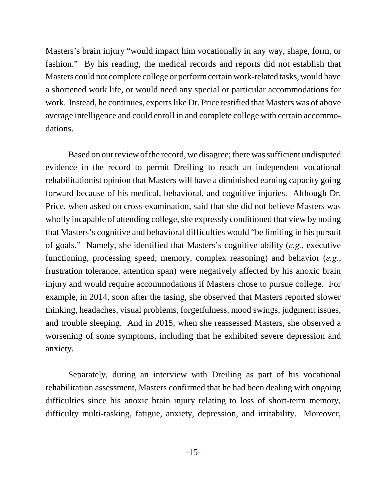Masters's brain injury "would impact him vocationally in any way, shape, form, or fashion." By his reading, the medical records and reports did not establish that Masters could not complete college or perform certain work-related tasks, would have a shortened work life, or would need any special or particular accommodations for work. Instead, he continues, experts like Dr. Price testified that Masters was of above average intelligence and could enroll in and complete college with certain accommodations.

Based on our review of the record, we disagree; there was sufficient undisputed evidence in the record to permit Dreiling to reach an independent vocational rehabilitationist opinion that Masters will have a diminished earning capacity going forward because of his medical, behavioral, and cognitive injuries. Although Dr. Price, when asked on cross-examination, said that she did not believe Masters was wholly incapable of attending college, she expressly conditioned that view by noting that Masters's cognitive and behavioral difficulties would "be limiting in his pursuit of goals." Namely, she identified that Masters's cognitive ability (*e.g.*, executive functioning, processing speed, memory, complex reasoning) and behavior (*e.g.*, frustration tolerance, attention span) were negatively affected by his anoxic brain injury and would require accommodations if Masters chose to pursue college. For example, in 2014, soon after the tasing, she observed that Masters reported slower thinking, headaches, visual problems, forgetfulness, mood swings, judgment issues, and trouble sleeping. And in 2015, when she reassessed Masters, she observed a worsening of some symptoms, including that he exhibited severe depression and anxiety.

Separately, during an interview with Dreiling as part of his vocational rehabilitation assessment, Masters confirmed that he had been dealing with ongoing difficulties since his anoxic brain injury relating to loss of short-term memory, difficulty multi-tasking, fatigue, anxiety, depression, and irritability. Moreover,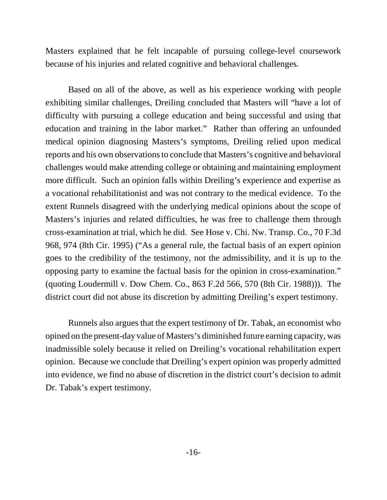Masters explained that he felt incapable of pursuing college-level coursework because of his injuries and related cognitive and behavioral challenges.

Based on all of the above, as well as his experience working with people exhibiting similar challenges, Dreiling concluded that Masters will "have a lot of difficulty with pursuing a college education and being successful and using that education and training in the labor market." Rather than offering an unfounded medical opinion diagnosing Masters's symptoms, Dreiling relied upon medical reports and his own observations to conclude that Masters's cognitive and behavioral challenges would make attending college or obtaining and maintaining employment more difficult. Such an opinion falls within Dreiling's experience and expertise as a vocational rehabilitationist and was not contrary to the medical evidence. To the extent Runnels disagreed with the underlying medical opinions about the scope of Masters's injuries and related difficulties, he was free to challenge them through cross-examination at trial, which he did. See Hose v. Chi. Nw. Transp. Co., 70 F.3d 968, 974 (8th Cir. 1995) ("As a general rule, the factual basis of an expert opinion goes to the credibility of the testimony, not the admissibility, and it is up to the opposing party to examine the factual basis for the opinion in cross-examination." (quoting Loudermill v. Dow Chem. Co., 863 F.2d 566, 570 (8th Cir. 1988))). The district court did not abuse its discretion by admitting Dreiling's expert testimony.

Runnels also argues that the expert testimony of Dr. Tabak, an economist who opined on the present-day value of Masters's diminished future earning capacity, was inadmissible solely because it relied on Dreiling's vocational rehabilitation expert opinion. Because we conclude that Dreiling's expert opinion was properly admitted into evidence, we find no abuse of discretion in the district court's decision to admit Dr. Tabak's expert testimony.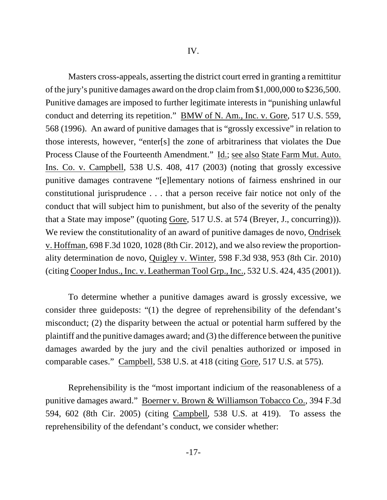Masters cross-appeals, asserting the district court erred in granting a remittitur of the jury's punitive damages award on the drop claim from \$1,000,000 to \$236,500. Punitive damages are imposed to further legitimate interests in "punishing unlawful conduct and deterring its repetition." BMW of N. Am., Inc. v. Gore, 517 U.S. 559, 568 (1996). An award of punitive damages that is "grossly excessive" in relation to those interests, however, "enter[s] the zone of arbitrariness that violates the Due Process Clause of the Fourteenth Amendment." Id.; see also State Farm Mut. Auto. Ins. Co. v. Campbell, 538 U.S. 408, 417 (2003) (noting that grossly excessive punitive damages contravene "[e]lementary notions of fairness enshrined in our constitutional jurisprudence . . . that a person receive fair notice not only of the conduct that will subject him to punishment, but also of the severity of the penalty that a State may impose" (quoting Gore, 517 U.S. at 574 (Breyer, J., concurring))). We review the constitutionality of an award of punitive damages de novo, Ondrisek v. Hoffman, 698 F.3d 1020, 1028 (8th Cir. 2012), and we also review the proportionality determination de novo, Quigley v. Winter, 598 F.3d 938, 953 (8th Cir. 2010) (citing Cooper Indus., Inc. v. Leatherman Tool Grp., Inc., 532 U.S. 424, 435 (2001)).

To determine whether a punitive damages award is grossly excessive, we consider three guideposts: "(1) the degree of reprehensibility of the defendant's misconduct; (2) the disparity between the actual or potential harm suffered by the plaintiff and the punitive damages award; and (3) the difference between the punitive damages awarded by the jury and the civil penalties authorized or imposed in comparable cases." Campbell, 538 U.S. at 418 (citing Gore, 517 U.S. at 575).

Reprehensibility is the "most important indicium of the reasonableness of a punitive damages award." Boerner v. Brown & Williamson Tobacco Co., 394 F.3d 594, 602 (8th Cir. 2005) (citing Campbell, 538 U.S. at 419). To assess the reprehensibility of the defendant's conduct, we consider whether: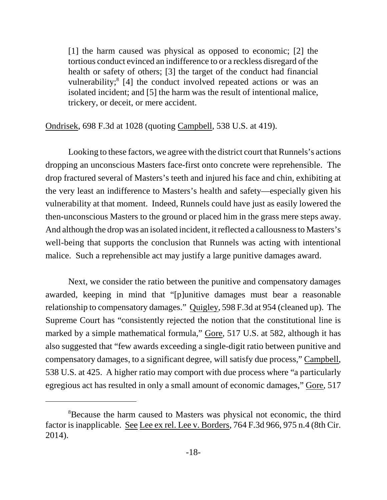[1] the harm caused was physical as opposed to economic; [2] the tortious conduct evinced an indifference to or a reckless disregard of the health or safety of others; [3] the target of the conduct had financial vulnerability;<sup>8</sup> [4] the conduct involved repeated actions or was an isolated incident; and [5] the harm was the result of intentional malice, trickery, or deceit, or mere accident.

Ondrisek, 698 F.3d at 1028 (quoting Campbell, 538 U.S. at 419).

Looking to these factors, we agree with the district court that Runnels's actions dropping an unconscious Masters face-first onto concrete were reprehensible. The drop fractured several of Masters's teeth and injured his face and chin, exhibiting at the very least an indifference to Masters's health and safety—especially given his vulnerability at that moment. Indeed, Runnels could have just as easily lowered the then-unconscious Masters to the ground or placed him in the grass mere steps away. And although the drop was an isolated incident, it reflected a callousness to Masters's well-being that supports the conclusion that Runnels was acting with intentional malice. Such a reprehensible act may justify a large punitive damages award.

Next, we consider the ratio between the punitive and compensatory damages awarded, keeping in mind that "[p]unitive damages must bear a reasonable relationship to compensatory damages." Quigley, 598 F.3d at 954 (cleaned up). The Supreme Court has "consistently rejected the notion that the constitutional line is marked by a simple mathematical formula," Gore, 517 U.S. at 582, although it has also suggested that "few awards exceeding a single-digit ratio between punitive and compensatory damages, to a significant degree, will satisfy due process," Campbell, 538 U.S. at 425. A higher ratio may comport with due process where "a particularly egregious act has resulted in only a small amount of economic damages," Gore, 517

<sup>&</sup>lt;sup>8</sup>Because the harm caused to Masters was physical not economic, the third factor is inapplicable. See Lee ex rel. Lee v. Borders, 764 F.3d 966, 975 n.4 (8th Cir. 2014).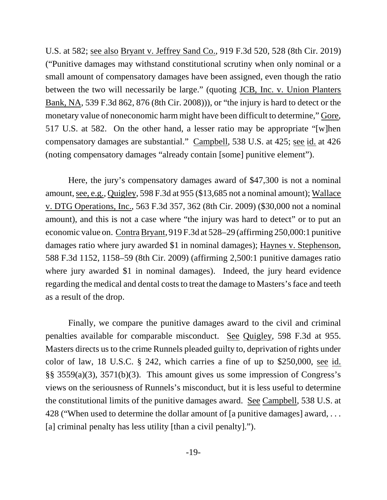U.S. at 582; see also Bryant v. Jeffrey Sand Co., 919 F.3d 520, 528 (8th Cir. 2019) ("Punitive damages may withstand constitutional scrutiny when only nominal or a small amount of compensatory damages have been assigned, even though the ratio between the two will necessarily be large." (quoting JCB, Inc. v. Union Planters Bank, NA, 539 F.3d 862, 876 (8th Cir. 2008))), or "the injury is hard to detect or the monetary value of noneconomic harm might have been difficult to determine," Gore, 517 U.S. at 582. On the other hand, a lesser ratio may be appropriate "[w]hen compensatory damages are substantial." Campbell, 538 U.S. at 425; see id. at 426 (noting compensatory damages "already contain [some] punitive element").

Here, the jury's compensatory damages award of \$47,300 is not a nominal amount, see, e.g., Quigley, 598 F.3d at 955 (\$13,685 not a nominal amount); Wallace v. DTG Operations, Inc., 563 F.3d 357, 362 (8th Cir. 2009) (\$30,000 not a nominal amount), and this is not a case where "the injury was hard to detect" or to put an economic value on. Contra Bryant, 919 F.3d at 528–29 (affirming 250,000:1 punitive damages ratio where jury awarded \$1 in nominal damages); Haynes v. Stephenson, 588 F.3d 1152, 1158–59 (8th Cir. 2009) (affirming 2,500:1 punitive damages ratio where jury awarded \$1 in nominal damages). Indeed, the jury heard evidence regarding the medical and dental costs to treat the damage to Masters's face and teeth as a result of the drop.

Finally, we compare the punitive damages award to the civil and criminal penalties available for comparable misconduct. See Quigley, 598 F.3d at 955. Masters directs us to the crime Runnels pleaded guilty to, deprivation of rights under color of law, 18 U.S.C. § 242, which carries a fine of up to \$250,000, see id. §§ 3559(a)(3), 3571(b)(3). This amount gives us some impression of Congress's views on the seriousness of Runnels's misconduct, but it is less useful to determine the constitutional limits of the punitive damages award. See Campbell, 538 U.S. at 428 ("When used to determine the dollar amount of [a punitive damages] award, . . . [a] criminal penalty has less utility [than a civil penalty].").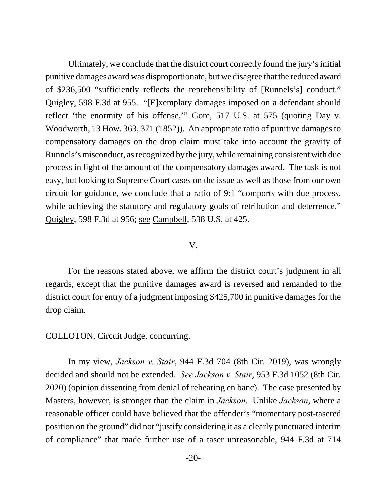Ultimately, we conclude that the district court correctly found the jury's initial punitive damages award was disproportionate, but we disagree that the reduced award of \$236,500 "sufficiently reflects the reprehensibility of [Runnels's] conduct." Quigley, 598 F.3d at 955. "[E]xemplary damages imposed on a defendant should reflect 'the enormity of his offense,'" Gore, 517 U.S. at 575 (quoting Day v. Woodworth, 13 How. 363, 371 (1852)). An appropriate ratio of punitive damages to compensatory damages on the drop claim must take into account the gravity of Runnels's misconduct, as recognized by the jury, while remaining consistent with due process in light of the amount of the compensatory damages award. The task is not easy, but looking to Supreme Court cases on the issue as well as those from our own circuit for guidance, we conclude that a ratio of 9:1 "comports with due process, while achieving the statutory and regulatory goals of retribution and deterrence." Quigley, 598 F.3d at 956; see Campbell, 538 U.S. at 425.

## V.

For the reasons stated above, we affirm the district court's judgment in all regards, except that the punitive damages award is reversed and remanded to the district court for entry of a judgment imposing \$425,700 in punitive damages for the drop claim.

## COLLOTON, Circuit Judge, concurring.

In my view, *Jackson v. Stair*, 944 F.3d 704 (8th Cir. 2019), was wrongly decided and should not be extended. *See Jackson v. Stair*, 953 F.3d 1052 (8th Cir. 2020) (opinion dissenting from denial of rehearing en banc). The case presented by Masters, however, is stronger than the claim in *Jackson*. Unlike *Jackson*, where a reasonable officer could have believed that the offender's "momentary post-tasered position on the ground" did not "justify considering it as a clearly punctuated interim of compliance" that made further use of a taser unreasonable, 944 F.3d at 714